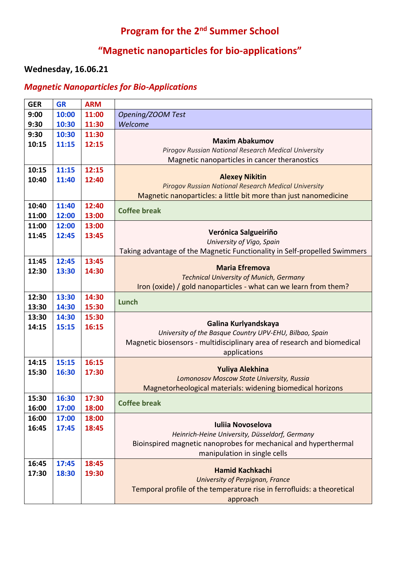# **Program for the 2nd Summer School**

# **"Magnetic nanoparticles for bio-applications"**

#### **Wednesday, 16.06.21**

### *Magnetic Nanoparticles for Bio-Applications*

| <b>GER</b> | <b>GR</b> | <b>ARM</b> |                                                                           |
|------------|-----------|------------|---------------------------------------------------------------------------|
| 9:00       | 10:00     | 11:00      | Opening/ZOOM Test                                                         |
| 9:30       | 10:30     | 11:30      | Welcome                                                                   |
| 9:30       | 10:30     | 11:30      |                                                                           |
| 10:15      | 11:15     | 12:15      | <b>Maxim Abakumov</b>                                                     |
|            |           |            | Pirogov Russian National Research Medical University                      |
|            |           |            | Magnetic nanoparticles in cancer theranostics                             |
| 10:15      | 11:15     | 12:15      | <b>Alexey Nikitin</b>                                                     |
| 10:40      | 11:40     | 12:40      | Pirogov Russian National Research Medical University                      |
|            |           |            | Magnetic nanoparticles: a little bit more than just nanomedicine          |
| 10:40      | 11:40     | 12:40      |                                                                           |
| 11:00      | 12:00     | 13:00      | <b>Coffee break</b>                                                       |
| 11:00      | 12:00     | 13:00      |                                                                           |
| 11:45      | 12:45     | 13:45      | Verónica Salgueiriño                                                      |
|            |           |            | University of Vigo, Spain                                                 |
|            |           |            | Taking advantage of the Magnetic Functionality in Self-propelled Swimmers |
| 11:45      | 12:45     | 13:45      | <b>Maria Efremova</b>                                                     |
| 12:30      | 13:30     | 14:30      | <b>Technical University of Munich, Germany</b>                            |
|            |           |            | Iron (oxide) / gold nanoparticles - what can we learn from them?          |
| 12:30      | 13:30     | 14:30      |                                                                           |
| 13:30      | 14:30     | 15:30      | Lunch                                                                     |
| 13:30      | 14:30     | 15:30      |                                                                           |
| 14:15      | 15:15     | 16:15      | Galina Kurlyandskaya                                                      |
|            |           |            | University of the Basque Country UPV-EHU, Bilbao, Spain                   |
|            |           |            | Magnetic biosensors - multidisciplinary area of research and biomedical   |
|            |           |            | applications                                                              |
| 14:15      | 15:15     | 16:15      | Yuliya Alekhina                                                           |
| 15:30      | 16:30     | 17:30      | Lomonosov Moscow State University, Russia                                 |
|            |           |            | Magnetorheological materials: widening biomedical horizons                |
| 15:30      | 16:30     | 17:30      |                                                                           |
| 16:00      | 17:00     | 18:00      | <b>Coffee break</b>                                                       |
| 16:00      | 17:00     | 18:00      |                                                                           |
| 16:45      | 17:45     | 18:45      | <b>Iuliia Novoselova</b>                                                  |
|            |           |            | Heinrich-Heine University, Düsseldorf, Germany                            |
|            |           |            | Bioinspired magnetic nanoprobes for mechanical and hyperthermal           |
|            |           |            | manipulation in single cells                                              |
| 16:45      | 17:45     | 18:45      | <b>Hamid Kachkachi</b>                                                    |
| 17:30      | 18:30     | 19:30      | University of Perpignan, France                                           |
|            |           |            | Temporal profile of the temperature rise in ferrofluids: a theoretical    |
|            |           |            | approach                                                                  |
|            |           |            |                                                                           |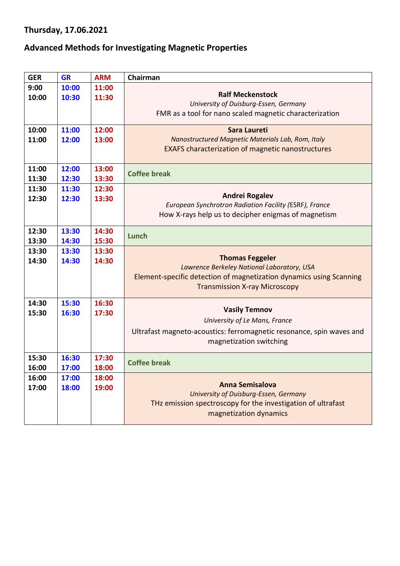# **Thursday, 17.06.2021**

#### **Advanced Methods for Investigating Magnetic Properties**

| <b>GER</b> | <b>GR</b> | <b>ARM</b> | Chairman                                                                                         |
|------------|-----------|------------|--------------------------------------------------------------------------------------------------|
| 9:00       | 10:00     | 11:00      |                                                                                                  |
| 10:00      | 10:30     | 11:30      | <b>Ralf Meckenstock</b>                                                                          |
|            |           |            | University of Duisburg-Essen, Germany<br>FMR as a tool for nano scaled magnetic characterization |
|            |           |            |                                                                                                  |
| 10:00      | 11:00     | 12:00      | Sara Laureti                                                                                     |
| 11:00      | 12:00     | 13:00      | Nanostructured Magnetic Materials Lab, Rom, Italy                                                |
|            |           |            | <b>EXAFS characterization of magnetic nanostructures</b>                                         |
|            |           |            |                                                                                                  |
| 11:00      | 12:00     | 13:00      | <b>Coffee break</b>                                                                              |
| 11:30      | 12:30     | 13:30      |                                                                                                  |
| 11:30      | 11:30     | 12:30      |                                                                                                  |
| 12:30      | 12:30     | 13:30      | <b>Andrei Rogalev</b><br>European Synchrotron Radiation Facility (ESRF), France                  |
|            |           |            | How X-rays help us to decipher enigmas of magnetism                                              |
|            |           |            |                                                                                                  |
| 12:30      | 13:30     | 14:30      | Lunch                                                                                            |
| 13:30      | 14:30     | 15:30      |                                                                                                  |
| 13:30      | 13:30     | 13:30      |                                                                                                  |
| 14:30      | 14:30     | 14:30      | <b>Thomas Feggeler</b><br>Lawrence Berkeley National Laboratory, USA                             |
|            |           |            | Element-specific detection of magnetization dynamics using Scanning                              |
|            |           |            | <b>Transmission X-ray Microscopy</b>                                                             |
|            |           |            |                                                                                                  |
| 14:30      | 15:30     | 16:30      |                                                                                                  |
| 15:30      | 16:30     | 17:30      | <b>Vasily Temnov</b>                                                                             |
|            |           |            | University of Le Mans, France                                                                    |
|            |           |            | Ultrafast magneto-acoustics: ferromagnetic resonance, spin waves and                             |
|            |           |            | magnetization switching                                                                          |
| 15:30      | 16:30     | 17:30      |                                                                                                  |
| 16:00      | 17:00     | 18:00      | <b>Coffee break</b>                                                                              |
| 16:00      | 17:00     | 18:00      |                                                                                                  |
| 17:00      | 18:00     | 19:00      | <b>Anna Semisalova</b>                                                                           |
|            |           |            | <b>University of Duisburg-Essen, Germany</b>                                                     |
|            |           |            | THz emission spectroscopy for the investigation of ultrafast                                     |
|            |           |            | magnetization dynamics                                                                           |